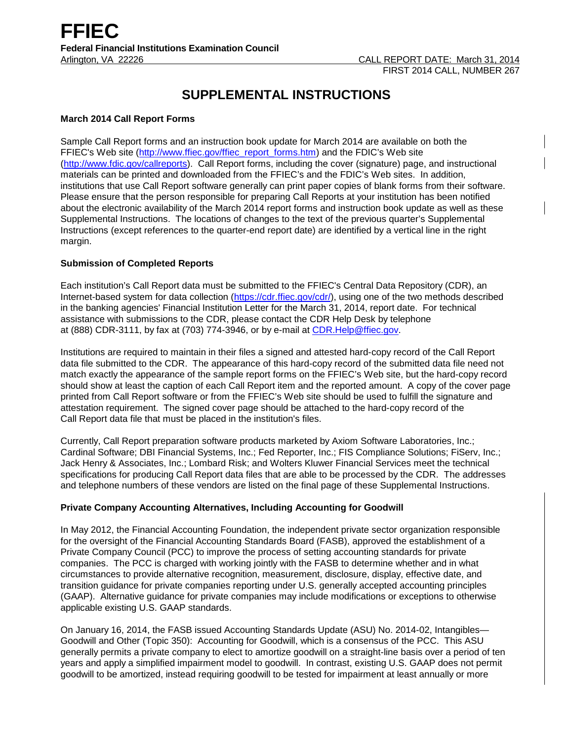# **SUPPLEMENTAL INSTRUCTIONS**

# **March 2014 Call Report Forms**

Sample Call Report forms and an instruction book update for March 2014 are available on both the FFIEC's Web site [\(http://www.ffiec.gov/ffiec\\_report\\_forms.htm\)](http://www.ffiec.gov/ffiec_report_forms.htm) and the FDIC's Web site [\(http://www.fdic.gov/callreports\)](http://www.fdic.gov/callreports). Call Report forms, including the cover (signature) page, and instructional materials can be printed and downloaded from the FFIEC's and the FDIC's Web sites. In addition, institutions that use Call Report software generally can print paper copies of blank forms from their software. Please ensure that the person responsible for preparing Call Reports at your institution has been notified about the electronic availability of the March 2014 report forms and instruction book update as well as these Supplemental Instructions. The locations of changes to the text of the previous quarter's Supplemental Instructions (except references to the quarter-end report date) are identified by a vertical line in the right margin.

# **Submission of Completed Reports**

Each institution's Call Report data must be submitted to the FFIEC's Central Data Repository (CDR), an Internet-based system for data collection [\(https://cdr.ffiec.gov/cdr/\)](https://cdr.ffiec.gov/cdr/), using one of the two methods described in the banking agencies' Financial Institution Letter for the March 31, 2014, report date. For technical assistance with submissions to the CDR, please contact the CDR Help Desk by telephone at (888) CDR-3111, by fax at (703) 774-3946, or by e-mail at CDR.Help@ffiec.gov.

Institutions are required to maintain in their files a signed and attested hard-copy record of the Call Report data file submitted to the CDR. The appearance of this hard-copy record of the submitted data file need not match exactly the appearance of the sample report forms on the FFIEC's Web site, but the hard-copy record should show at least the caption of each Call Report item and the reported amount. A copy of the cover page printed from Call Report software or from the FFIEC's Web site should be used to fulfill the signature and attestation requirement. The signed cover page should be attached to the hard-copy record of the Call Report data file that must be placed in the institution's files.

Currently, Call Report preparation software products marketed by Axiom Software Laboratories, Inc.; Cardinal Software; DBI Financial Systems, Inc.; Fed Reporter, Inc.; FIS Compliance Solutions; FiServ, Inc.; Jack Henry & Associates, Inc.; Lombard Risk; and Wolters Kluwer Financial Services meet the technical specifications for producing Call Report data files that are able to be processed by the CDR. The addresses and telephone numbers of these vendors are listed on the final page of these Supplemental Instructions.

## **Private Company Accounting Alternatives, Including Accounting for Goodwill**

In May 2012, the Financial Accounting Foundation, the independent private sector organization responsible for the oversight of the Financial Accounting Standards Board (FASB), approved the establishment of a Private Company Council (PCC) to improve the process of setting accounting standards for private companies. The PCC is charged with working jointly with the FASB to determine whether and in what circumstances to provide alternative recognition, measurement, disclosure, display, effective date, and transition guidance for private companies reporting under U.S. generally accepted accounting principles (GAAP). Alternative guidance for private companies may include modifications or exceptions to otherwise applicable existing U.S. GAAP standards.

On January 16, 2014, the FASB issued Accounting Standards Update (ASU) No. 2014-02, Intangibles— Goodwill and Other (Topic 350): Accounting for Goodwill, which is a consensus of the PCC. This ASU generally permits a private company to elect to amortize goodwill on a straight-line basis over a period of ten years and apply a simplified impairment model to goodwill. In contrast, existing U.S. GAAP does not permit goodwill to be amortized, instead requiring goodwill to be tested for impairment at least annually or more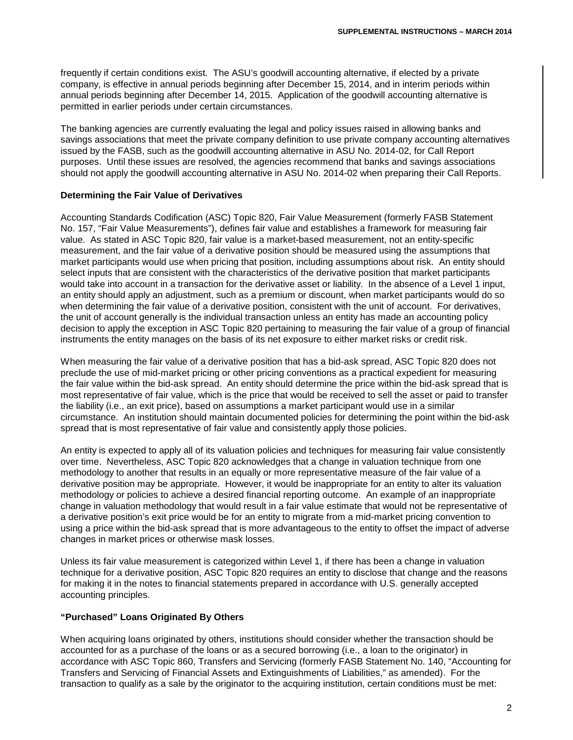frequently if certain conditions exist. The ASU's goodwill accounting alternative, if elected by a private company, is effective in annual periods beginning after December 15, 2014, and in interim periods within annual periods beginning after December 14, 2015. Application of the goodwill accounting alternative is permitted in earlier periods under certain circumstances.

The banking agencies are currently evaluating the legal and policy issues raised in allowing banks and savings associations that meet the private company definition to use private company accounting alternatives issued by the FASB, such as the goodwill accounting alternative in ASU No. 2014-02, for Call Report purposes. Until these issues are resolved, the agencies recommend that banks and savings associations should not apply the goodwill accounting alternative in ASU No. 2014-02 when preparing their Call Reports.

## **Determining the Fair Value of Derivatives**

Accounting Standards Codification (ASC) Topic 820, Fair Value Measurement (formerly FASB Statement No. 157, "Fair Value Measurements"), defines fair value and establishes a framework for measuring fair value. As stated in ASC Topic 820, fair value is a market-based measurement, not an entity-specific measurement, and the fair value of a derivative position should be measured using the assumptions that market participants would use when pricing that position, including assumptions about risk. An entity should select inputs that are consistent with the characteristics of the derivative position that market participants would take into account in a transaction for the derivative asset or liability. In the absence of a Level 1 input, an entity should apply an adjustment, such as a premium or discount, when market participants would do so when determining the fair value of a derivative position, consistent with the unit of account. For derivatives, the unit of account generally is the individual transaction unless an entity has made an accounting policy decision to apply the exception in ASC Topic 820 pertaining to measuring the fair value of a group of financial instruments the entity manages on the basis of its net exposure to either market risks or credit risk.

When measuring the fair value of a derivative position that has a bid-ask spread, ASC Topic 820 does not preclude the use of mid-market pricing or other pricing conventions as a practical expedient for measuring the fair value within the bid-ask spread. An entity should determine the price within the bid-ask spread that is most representative of fair value, which is the price that would be received to sell the asset or paid to transfer the liability (i.e., an exit price), based on assumptions a market participant would use in a similar circumstance. An institution should maintain documented policies for determining the point within the bid-ask spread that is most representative of fair value and consistently apply those policies.

An entity is expected to apply all of its valuation policies and techniques for measuring fair value consistently over time. Nevertheless, ASC Topic 820 acknowledges that a change in valuation technique from one methodology to another that results in an equally or more representative measure of the fair value of a derivative position may be appropriate. However, it would be inappropriate for an entity to alter its valuation methodology or policies to achieve a desired financial reporting outcome. An example of an inappropriate change in valuation methodology that would result in a fair value estimate that would not be representative of a derivative position's exit price would be for an entity to migrate from a mid-market pricing convention to using a price within the bid-ask spread that is more advantageous to the entity to offset the impact of adverse changes in market prices or otherwise mask losses.

Unless its fair value measurement is categorized within Level 1, if there has been a change in valuation technique for a derivative position, ASC Topic 820 requires an entity to disclose that change and the reasons for making it in the notes to financial statements prepared in accordance with U.S. generally accepted accounting principles.

# **"Purchased" Loans Originated By Others**

When acquiring loans originated by others, institutions should consider whether the transaction should be accounted for as a purchase of the loans or as a secured borrowing (i.e., a loan to the originator) in accordance with ASC Topic 860, Transfers and Servicing (formerly FASB Statement No. 140, "Accounting for Transfers and Servicing of Financial Assets and Extinguishments of Liabilities," as amended). For the transaction to qualify as a sale by the originator to the acquiring institution, certain conditions must be met: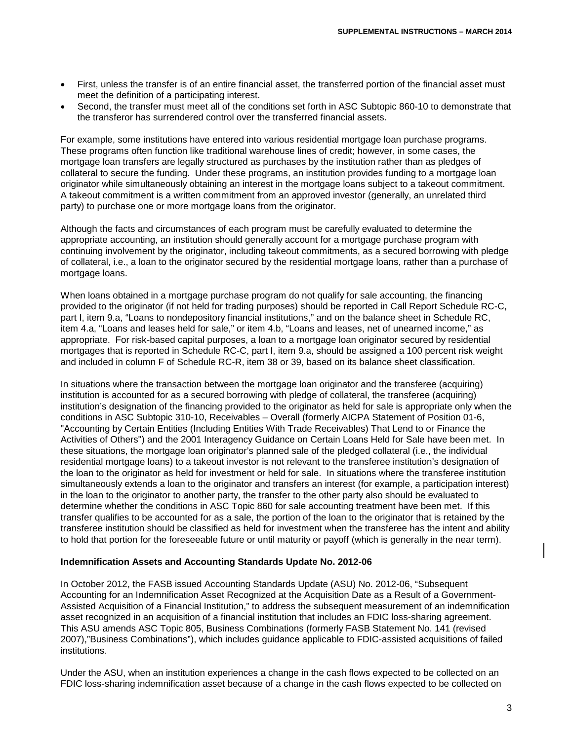- First, unless the transfer is of an entire financial asset, the transferred portion of the financial asset must meet the definition of a participating interest.
- Second, the transfer must meet all of the conditions set forth in ASC Subtopic 860-10 to demonstrate that the transferor has surrendered control over the transferred financial assets.

For example, some institutions have entered into various residential mortgage loan purchase programs. These programs often function like traditional warehouse lines of credit; however, in some cases, the mortgage loan transfers are legally structured as purchases by the institution rather than as pledges of collateral to secure the funding. Under these programs, an institution provides funding to a mortgage loan originator while simultaneously obtaining an interest in the mortgage loans subject to a takeout commitment. A takeout commitment is a written commitment from an approved investor (generally, an unrelated third party) to purchase one or more mortgage loans from the originator.

Although the facts and circumstances of each program must be carefully evaluated to determine the appropriate accounting, an institution should generally account for a mortgage purchase program with continuing involvement by the originator, including takeout commitments, as a secured borrowing with pledge of collateral, i.e., a loan to the originator secured by the residential mortgage loans, rather than a purchase of mortgage loans.

When loans obtained in a mortgage purchase program do not qualify for sale accounting, the financing provided to the originator (if not held for trading purposes) should be reported in Call Report Schedule RC-C, part I, item 9.a, "Loans to nondepository financial institutions," and on the balance sheet in Schedule RC, item 4.a, "Loans and leases held for sale," or item 4.b, "Loans and leases, net of unearned income," as appropriate. For risk-based capital purposes, a loan to a mortgage loan originator secured by residential mortgages that is reported in Schedule RC-C, part I, item 9.a, should be assigned a 100 percent risk weight and included in column F of Schedule RC-R, item 38 or 39, based on its balance sheet classification.

In situations where the transaction between the mortgage loan originator and the transferee (acquiring) institution is accounted for as a secured borrowing with pledge of collateral, the transferee (acquiring) institution's designation of the financing provided to the originator as held for sale is appropriate only when the conditions in ASC Subtopic 310-10, Receivables – Overall (formerly AICPA Statement of Position 01-6, "Accounting by Certain Entities (Including Entities With Trade Receivables) That Lend to or Finance the Activities of Others") and the 2001 Interagency Guidance on Certain Loans Held for Sale have been met. In these situations, the mortgage loan originator's planned sale of the pledged collateral (i.e., the individual residential mortgage loans) to a takeout investor is not relevant to the transferee institution's designation of the loan to the originator as held for investment or held for sale. In situations where the transferee institution simultaneously extends a loan to the originator and transfers an interest (for example, a participation interest) in the loan to the originator to another party, the transfer to the other party also should be evaluated to determine whether the conditions in ASC Topic 860 for sale accounting treatment have been met. If this transfer qualifies to be accounted for as a sale, the portion of the loan to the originator that is retained by the transferee institution should be classified as held for investment when the transferee has the intent and ability to hold that portion for the foreseeable future or until maturity or payoff (which is generally in the near term).

## **Indemnification Assets and Accounting Standards Update No. 2012-06**

In October 2012, the FASB issued Accounting Standards Update (ASU) No. 2012-06, "Subsequent Accounting for an Indemnification Asset Recognized at the Acquisition Date as a Result of a Government-Assisted Acquisition of a Financial Institution," to address the subsequent measurement of an indemnification asset recognized in an acquisition of a financial institution that includes an FDIC loss-sharing agreement. This ASU amends ASC Topic 805, Business Combinations (formerly FASB Statement No. 141 (revised 2007),"Business Combinations"), which includes guidance applicable to FDIC-assisted acquisitions of failed institutions.

Under the ASU, when an institution experiences a change in the cash flows expected to be collected on an FDIC loss-sharing indemnification asset because of a change in the cash flows expected to be collected on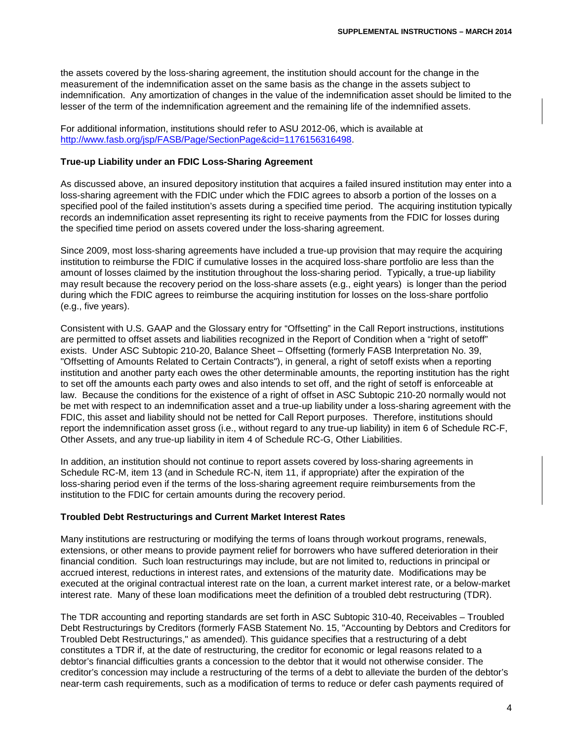the assets covered by the loss-sharing agreement, the institution should account for the change in the measurement of the indemnification asset on the same basis as the change in the assets subject to indemnification. Any amortization of changes in the value of the indemnification asset should be limited to the lesser of the term of the indemnification agreement and the remaining life of the indemnified assets.

For additional information, institutions should refer to ASU 2012-06, which is available at [http://www.fasb.org/jsp/FASB/Page/SectionPage&cid=1176156316498.](http://www.fasb.org/jsp/FASB/Page/SectionPage&cid=1176156316498)

### **True-up Liability under an FDIC Loss-Sharing Agreement**

As discussed above, an insured depository institution that acquires a failed insured institution may enter into a loss-sharing agreement with the FDIC under which the FDIC agrees to absorb a portion of the losses on a specified pool of the failed institution's assets during a specified time period. The acquiring institution typically records an indemnification asset representing its right to receive payments from the FDIC for losses during the specified time period on assets covered under the loss-sharing agreement.

Since 2009, most loss-sharing agreements have included a true-up provision that may require the acquiring institution to reimburse the FDIC if cumulative losses in the acquired loss-share portfolio are less than the amount of losses claimed by the institution throughout the loss-sharing period. Typically, a true-up liability may result because the recovery period on the loss-share assets (e.g., eight years) is longer than the period during which the FDIC agrees to reimburse the acquiring institution for losses on the loss-share portfolio (e.g., five years).

Consistent with U.S. GAAP and the Glossary entry for "Offsetting" in the Call Report instructions, institutions are permitted to offset assets and liabilities recognized in the Report of Condition when a "right of setoff" exists. Under ASC Subtopic 210-20, Balance Sheet – Offsetting (formerly FASB Interpretation No. 39, "Offsetting of Amounts Related to Certain Contracts"), in general, a right of setoff exists when a reporting institution and another party each owes the other determinable amounts, the reporting institution has the right to set off the amounts each party owes and also intends to set off, and the right of setoff is enforceable at law. Because the conditions for the existence of a right of offset in ASC Subtopic 210-20 normally would not be met with respect to an indemnification asset and a true-up liability under a loss-sharing agreement with the FDIC, this asset and liability should not be netted for Call Report purposes. Therefore, institutions should report the indemnification asset gross (i.e., without regard to any true-up liability) in item 6 of Schedule RC-F, Other Assets, and any true-up liability in item 4 of Schedule RC-G, Other Liabilities.

In addition, an institution should not continue to report assets covered by loss-sharing agreements in Schedule RC-M, item 13 (and in Schedule RC-N, item 11, if appropriate) after the expiration of the loss-sharing period even if the terms of the loss-sharing agreement require reimbursements from the institution to the FDIC for certain amounts during the recovery period.

#### **Troubled Debt Restructurings and Current Market Interest Rates**

Many institutions are restructuring or modifying the terms of loans through workout programs, renewals, extensions, or other means to provide payment relief for borrowers who have suffered deterioration in their financial condition. Such loan restructurings may include, but are not limited to, reductions in principal or accrued interest, reductions in interest rates, and extensions of the maturity date. Modifications may be executed at the original contractual interest rate on the loan, a current market interest rate, or a below-market interest rate. Many of these loan modifications meet the definition of a troubled debt restructuring (TDR).

The TDR accounting and reporting standards are set forth in ASC Subtopic 310-40, Receivables – Troubled Debt Restructurings by Creditors (formerly FASB Statement No. 15, "Accounting by Debtors and Creditors for Troubled Debt Restructurings," as amended). This guidance specifies that a restructuring of a debt constitutes a TDR if, at the date of restructuring, the creditor for economic or legal reasons related to a debtor's financial difficulties grants a concession to the debtor that it would not otherwise consider. The creditor's concession may include a restructuring of the terms of a debt to alleviate the burden of the debtor's near-term cash requirements, such as a modification of terms to reduce or defer cash payments required of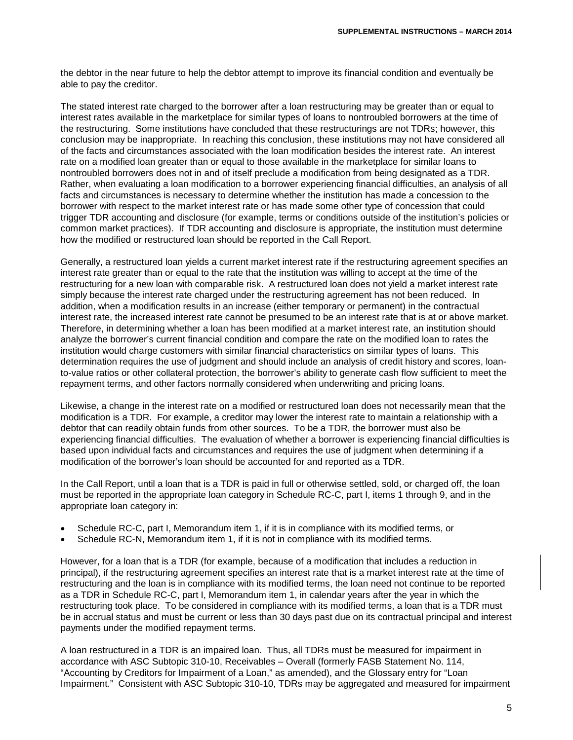the debtor in the near future to help the debtor attempt to improve its financial condition and eventually be able to pay the creditor.

The stated interest rate charged to the borrower after a loan restructuring may be greater than or equal to interest rates available in the marketplace for similar types of loans to nontroubled borrowers at the time of the restructuring. Some institutions have concluded that these restructurings are not TDRs; however, this conclusion may be inappropriate. In reaching this conclusion, these institutions may not have considered all of the facts and circumstances associated with the loan modification besides the interest rate. An interest rate on a modified loan greater than or equal to those available in the marketplace for similar loans to nontroubled borrowers does not in and of itself preclude a modification from being designated as a TDR. Rather, when evaluating a loan modification to a borrower experiencing financial difficulties, an analysis of all facts and circumstances is necessary to determine whether the institution has made a concession to the borrower with respect to the market interest rate or has made some other type of concession that could trigger TDR accounting and disclosure (for example, terms or conditions outside of the institution's policies or common market practices). If TDR accounting and disclosure is appropriate, the institution must determine how the modified or restructured loan should be reported in the Call Report.

Generally, a restructured loan yields a current market interest rate if the restructuring agreement specifies an interest rate greater than or equal to the rate that the institution was willing to accept at the time of the restructuring for a new loan with comparable risk. A restructured loan does not yield a market interest rate simply because the interest rate charged under the restructuring agreement has not been reduced. In addition, when a modification results in an increase (either temporary or permanent) in the contractual interest rate, the increased interest rate cannot be presumed to be an interest rate that is at or above market. Therefore, in determining whether a loan has been modified at a market interest rate, an institution should analyze the borrower's current financial condition and compare the rate on the modified loan to rates the institution would charge customers with similar financial characteristics on similar types of loans. This determination requires the use of judgment and should include an analysis of credit history and scores, loanto-value ratios or other collateral protection, the borrower's ability to generate cash flow sufficient to meet the repayment terms, and other factors normally considered when underwriting and pricing loans.

Likewise, a change in the interest rate on a modified or restructured loan does not necessarily mean that the modification is a TDR. For example, a creditor may lower the interest rate to maintain a relationship with a debtor that can readily obtain funds from other sources. To be a TDR, the borrower must also be experiencing financial difficulties. The evaluation of whether a borrower is experiencing financial difficulties is based upon individual facts and circumstances and requires the use of judgment when determining if a modification of the borrower's loan should be accounted for and reported as a TDR.

In the Call Report, until a loan that is a TDR is paid in full or otherwise settled, sold, or charged off, the loan must be reported in the appropriate loan category in Schedule RC-C, part I, items 1 through 9, and in the appropriate loan category in:

- Schedule RC-C, part I, Memorandum item 1, if it is in compliance with its modified terms, or
- Schedule RC-N, Memorandum item 1, if it is not in compliance with its modified terms.

However, for a loan that is a TDR (for example, because of a modification that includes a reduction in principal), if the restructuring agreement specifies an interest rate that is a market interest rate at the time of restructuring and the loan is in compliance with its modified terms, the loan need not continue to be reported as a TDR in Schedule RC-C, part I, Memorandum item 1, in calendar years after the year in which the restructuring took place. To be considered in compliance with its modified terms, a loan that is a TDR must be in accrual status and must be current or less than 30 days past due on its contractual principal and interest payments under the modified repayment terms.

A loan restructured in a TDR is an impaired loan. Thus, all TDRs must be measured for impairment in accordance with ASC Subtopic 310-10, Receivables – Overall (formerly FASB Statement No. 114, "Accounting by Creditors for Impairment of a Loan," as amended), and the Glossary entry for "Loan Impairment." Consistent with ASC Subtopic 310-10, TDRs may be aggregated and measured for impairment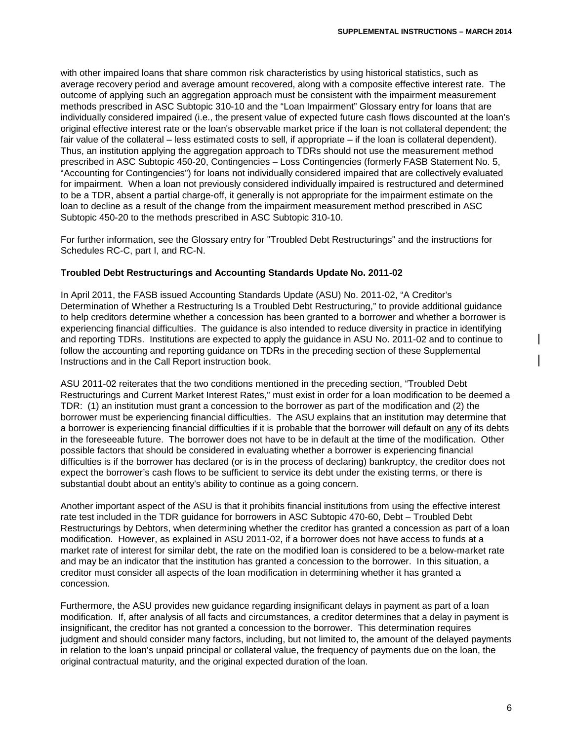with other impaired loans that share common risk characteristics by using historical statistics, such as average recovery period and average amount recovered, along with a composite effective interest rate. The outcome of applying such an aggregation approach must be consistent with the impairment measurement methods prescribed in ASC Subtopic 310-10 and the "Loan Impairment" Glossary entry for loans that are individually considered impaired (i.e., the present value of expected future cash flows discounted at the loan's original effective interest rate or the loan's observable market price if the loan is not collateral dependent; the fair value of the collateral – less estimated costs to sell, if appropriate – if the loan is collateral dependent). Thus, an institution applying the aggregation approach to TDRs should not use the measurement method prescribed in ASC Subtopic 450-20, Contingencies – Loss Contingencies (formerly FASB Statement No. 5, "Accounting for Contingencies") for loans not individually considered impaired that are collectively evaluated for impairment. When a loan not previously considered individually impaired is restructured and determined to be a TDR, absent a partial charge-off, it generally is not appropriate for the impairment estimate on the loan to decline as a result of the change from the impairment measurement method prescribed in ASC Subtopic 450-20 to the methods prescribed in ASC Subtopic 310-10.

For further information, see the Glossary entry for "Troubled Debt Restructurings" and the instructions for Schedules RC-C, part I, and RC-N.

# **Troubled Debt Restructurings and Accounting Standards Update No. 2011-02**

In April 2011, the FASB issued Accounting Standards Update (ASU) No. 2011-02, "A Creditor's Determination of Whether a Restructuring Is a Troubled Debt Restructuring," to provide additional guidance to help creditors determine whether a concession has been granted to a borrower and whether a borrower is experiencing financial difficulties. The guidance is also intended to reduce diversity in practice in identifying and reporting TDRs. Institutions are expected to apply the guidance in ASU No. 2011-02 and to continue to follow the accounting and reporting guidance on TDRs in the preceding section of these Supplemental Instructions and in the Call Report instruction book.

ASU 2011-02 reiterates that the two conditions mentioned in the preceding section, "Troubled Debt Restructurings and Current Market Interest Rates," must exist in order for a loan modification to be deemed a TDR: (1) an institution must grant a concession to the borrower as part of the modification and (2) the borrower must be experiencing financial difficulties. The ASU explains that an institution may determine that a borrower is experiencing financial difficulties if it is probable that the borrower will default on any of its debts in the foreseeable future. The borrower does not have to be in default at the time of the modification. Other possible factors that should be considered in evaluating whether a borrower is experiencing financial difficulties is if the borrower has declared (or is in the process of declaring) bankruptcy, the creditor does not expect the borrower's cash flows to be sufficient to service its debt under the existing terms, or there is substantial doubt about an entity's ability to continue as a going concern.

Another important aspect of the ASU is that it prohibits financial institutions from using the effective interest rate test included in the TDR guidance for borrowers in ASC Subtopic 470-60, Debt – Troubled Debt Restructurings by Debtors, when determining whether the creditor has granted a concession as part of a loan modification. However, as explained in ASU 2011-02, if a borrower does not have access to funds at a market rate of interest for similar debt, the rate on the modified loan is considered to be a below-market rate and may be an indicator that the institution has granted a concession to the borrower. In this situation, a creditor must consider all aspects of the loan modification in determining whether it has granted a concession.

Furthermore, the ASU provides new guidance regarding insignificant delays in payment as part of a loan modification. If, after analysis of all facts and circumstances, a creditor determines that a delay in payment is insignificant, the creditor has not granted a concession to the borrower. This determination requires judgment and should consider many factors, including, but not limited to, the amount of the delayed payments in relation to the loan's unpaid principal or collateral value, the frequency of payments due on the loan, the original contractual maturity, and the original expected duration of the loan.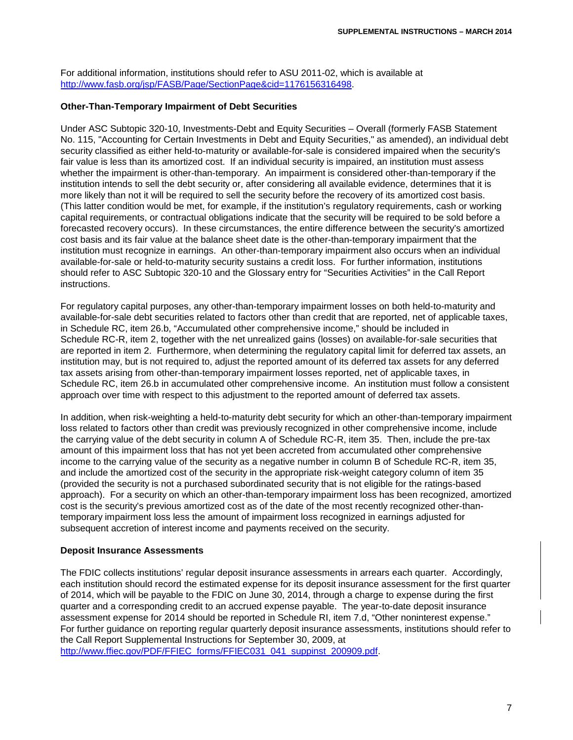For additional information, institutions should refer to ASU 2011-02, which is available at [http://www.fasb.org/jsp/FASB/Page/SectionPage&cid=1176156316498.](http://www.fasb.org/jsp/FASB/Page/SectionPage&cid=1176156316498)

## **Other-Than-Temporary Impairment of Debt Securities**

Under ASC Subtopic 320-10, Investments-Debt and Equity Securities – Overall (formerly FASB Statement No. 115, "Accounting for Certain Investments in Debt and Equity Securities," as amended), an individual debt security classified as either held-to-maturity or available-for-sale is considered impaired when the security's fair value is less than its amortized cost. If an individual security is impaired, an institution must assess whether the impairment is other-than-temporary. An impairment is considered other-than-temporary if the institution intends to sell the debt security or, after considering all available evidence, determines that it is more likely than not it will be required to sell the security before the recovery of its amortized cost basis. (This latter condition would be met, for example, if the institution's regulatory requirements, cash or working capital requirements, or contractual obligations indicate that the security will be required to be sold before a forecasted recovery occurs). In these circumstances, the entire difference between the security's amortized cost basis and its fair value at the balance sheet date is the other-than-temporary impairment that the institution must recognize in earnings. An other-than-temporary impairment also occurs when an individual available-for-sale or held-to-maturity security sustains a credit loss. For further information, institutions should refer to ASC Subtopic 320-10 and the Glossary entry for "Securities Activities" in the Call Report instructions.

For regulatory capital purposes, any other-than-temporary impairment losses on both held-to-maturity and available-for-sale debt securities related to factors other than credit that are reported, net of applicable taxes, in Schedule RC, item 26.b, "Accumulated other comprehensive income," should be included in Schedule RC-R, item 2, together with the net unrealized gains (losses) on available-for-sale securities that are reported in item 2. Furthermore, when determining the regulatory capital limit for deferred tax assets, an institution may, but is not required to, adjust the reported amount of its deferred tax assets for any deferred tax assets arising from other-than-temporary impairment losses reported, net of applicable taxes, in Schedule RC, item 26.b in accumulated other comprehensive income. An institution must follow a consistent approach over time with respect to this adjustment to the reported amount of deferred tax assets.

In addition, when risk-weighting a held-to-maturity debt security for which an other-than-temporary impairment loss related to factors other than credit was previously recognized in other comprehensive income, include the carrying value of the debt security in column A of Schedule RC-R, item 35. Then, include the pre-tax amount of this impairment loss that has not yet been accreted from accumulated other comprehensive income to the carrying value of the security as a negative number in column B of Schedule RC-R, item 35, and include the amortized cost of the security in the appropriate risk-weight category column of item 35 (provided the security is not a purchased subordinated security that is not eligible for the ratings-based approach). For a security on which an other-than-temporary impairment loss has been recognized, amortized cost is the security's previous amortized cost as of the date of the most recently recognized other-thantemporary impairment loss less the amount of impairment loss recognized in earnings adjusted for subsequent accretion of interest income and payments received on the security.

#### **Deposit Insurance Assessments**

The FDIC collects institutions' regular deposit insurance assessments in arrears each quarter. Accordingly, each institution should record the estimated expense for its deposit insurance assessment for the first quarter of 2014, which will be payable to the FDIC on June 30, 2014, through a charge to expense during the first quarter and a corresponding credit to an accrued expense payable. The year-to-date deposit insurance assessment expense for 2014 should be reported in Schedule RI, item 7.d, "Other noninterest expense." For further guidance on reporting regular quarterly deposit insurance assessments, institutions should refer to the Call Report Supplemental Instructions for September 30, 2009, at [http://www.ffiec.gov/PDF/FFIEC\\_forms/FFIEC031\\_041\\_suppinst\\_200909.pdf.](http://www.ffiec.gov/PDF/FFIEC_forms/FFIEC031_041_suppinst_200909.pdf)